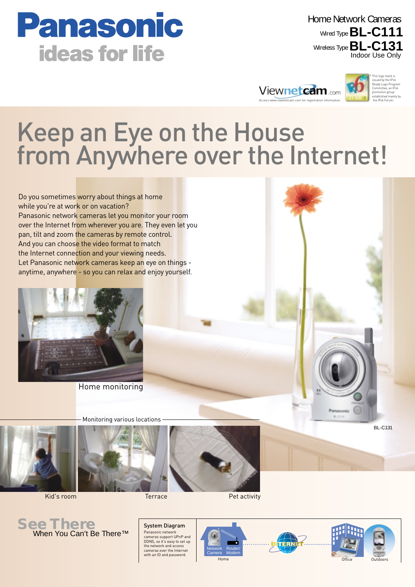

Indoor Use Only Wired Type **BL-C111** Wireless Type **BL-C131** Home Network Cameras



# Keep an Eye on the House from Anywhere over the Internet!

Do you sometimes worry about things at home while you're at work or on vacation? Panasonic network cameras let you monitor your room over the Internet from wherever you are. They even let you pan, tilt and zoom the cameras by remote control. And you can choose the video format to match the Internet connection and your viewing needs. Let Panasonic network cameras keep an eye on things anytime, anywhere - so you can relax and enjoy yourself.



Home monitoring

Monitoring various locations









**Kid's room Terrace Pet activity** 









BL-C131

Panasonic